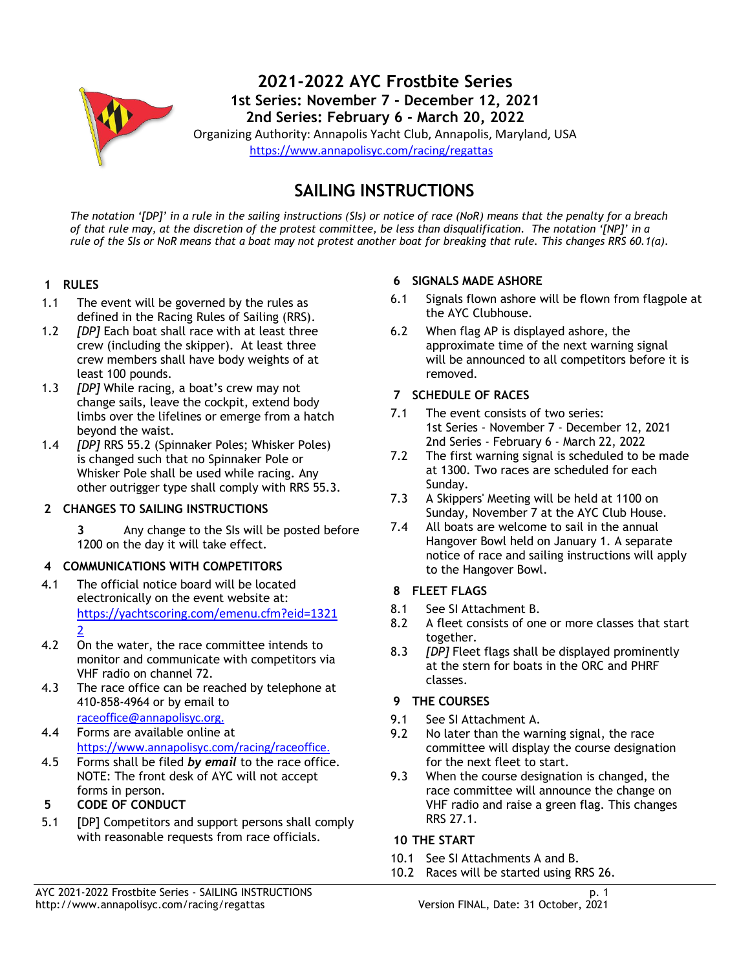

# **SAILING INSTRUCTIONS**

*The notation '[DP]' in a rule in the sailing instructions (SIs) or notice of race (NoR) means that the penalty for a breach of that rule may, at the discretion of the protest committee, be less than disqualification. The notation '[NP]' in a rule of the SIs or NoR means that a boat may not protest another boat for breaking that rule. This changes RRS 60.1(a).*

## **1 RULES**

- 1.1 The event will be governed by the rules as defined in the Racing Rules of Sailing (RRS).
- 1.2 *[DP]* Each boat shall race with at least three crew (including the skipper). At least three crew members shall have body weights of at least 100 pounds.
- 1.3 *[DP]* While racing, a boat's crew may not change sails, leave the cockpit, extend body limbs over the lifelines or emerge from a hatch beyond the waist.
- 1.4 *[DP]* RRS 55.2 (Spinnaker Poles; Whisker Poles) is changed such that no Spinnaker Pole or Whisker Pole shall be used while racing. Any other outrigger type shall comply with RRS 55.3.

# **2 CHANGES TO SAILING INSTRUCTIONS**

**3** Any change to the SIs will be posted before 1200 on the day it will take effect.

#### **4 COMMUNICATIONS WITH COMPETITORS**

- 4.1 The official notice board will be located electronically on the event website at: [https://yachtscoring.com/emenu.cfm?eid=1321](https://yachtscoring.com/emenu.cfm?eid=13212) [2](https://yachtscoring.com/emenu.cfm?eid=13212)
- 4.2 On the water, the race committee intends to monitor and communicate with competitors via VHF radio on channel 72.
- 4.3 The race office can be reached by telephone at 410-858-4964 or by email to [raceoffice@annapolisyc.org.](mailto:raceoffice@annapolisyc.org)
- 4.4 Forms are available online at [https://www.annapolisyc.com/racing/raceoffice.](https://www.annapolisyc.com/racing/raceoffice)
- 4.5 Forms shall be filed *by email* to the race office. NOTE: The front desk of AYC will not accept forms in person.
- **5 CODE OF CONDUCT**
- 5.1 [DP] Competitors and support persons shall comply with reasonable requests from race officials.

#### **6 SIGNALS MADE ASHORE**

- 6.1 Signals flown ashore will be flown from flagpole at the AYC Clubhouse.
- 6.2 When flag AP is displayed ashore, the approximate time of the next warning signal will be announced to all competitors before it is removed.
- **7 SCHEDULE OF RACES**
- 7.1 The event consists of two series: 1st Series - November 7 - December 12, 2021 2nd Series - February 6 - March 22, 2022
- 7.2 The first warning signal is scheduled to be made at 1300. Two races are scheduled for each Sunday.
- 7.3 A Skippers' Meeting will be held at 1100 on Sunday, November 7 at the AYC Club House.
- 7.4 All boats are welcome to sail in the annual Hangover Bowl held on January 1. A separate notice of race and sailing instructions will apply to the Hangover Bowl.

#### **8 FLEET FLAGS**

- 8.1 See SI Attachment B.
- 8.2 A fleet consists of one or more classes that start together.
- 8.3 *[DP]* Fleet flags shall be displayed prominently at the stern for boats in the ORC and PHRF classes.

# **9 THE COURSES**

- 9.1 See SI Attachment A.
- 9.2 No later than the warning signal, the race committee will display the course designation for the next fleet to start.
- 9.3 When the course designation is changed, the race committee will announce the change on VHF radio and raise a green flag. This changes RRS 27.1.

# **10 THE START**

- 10.1 See SI Attachments A and B.
- 10.2 Races will be started using RRS 26.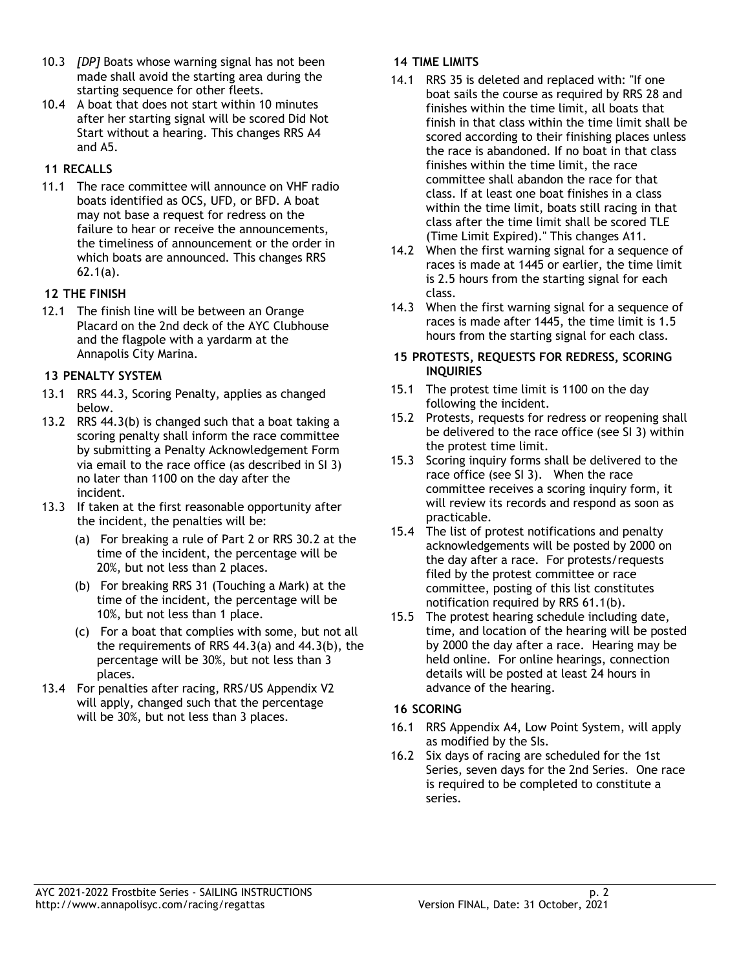- 10.3 *[DP]* Boats whose warning signal has not been made shall avoid the starting area during the starting sequence for other fleets.
- 10.4 A boat that does not start within 10 minutes after her starting signal will be scored Did Not Start without a hearing. This changes RRS A4 and A5.

# **11 RECALLS**

11.1 The race committee will announce on VHF radio boats identified as OCS, UFD, or BFD. A boat may not base a request for redress on the failure to hear or receive the announcements, the timeliness of announcement or the order in which boats are announced. This changes RRS 62.1(a).

# **12 THE FINISH**

12.1 The finish line will be between an Orange Placard on the 2nd deck of the AYC Clubhouse and the flagpole with a yardarm at the Annapolis City Marina.

# **13 PENALTY SYSTEM**

- 13.1 RRS 44.3, Scoring Penalty, applies as changed below.
- 13.2 RRS 44.3(b) is changed such that a boat taking a scoring penalty shall inform the race committee by submitting a Penalty Acknowledgement Form via email to the race office (as described in SI 3) no later than 1100 on the day after the incident.
- 13.3 If taken at the first reasonable opportunity after the incident, the penalties will be:
	- (a) For breaking a rule of Part 2 or RRS 30.2 at the time of the incident, the percentage will be 20%, but not less than 2 places.
	- (b) For breaking RRS 31 (Touching a Mark) at the time of the incident, the percentage will be 10%, but not less than 1 place.
	- (c) For a boat that complies with some, but not all the requirements of RRS 44.3(a) and 44.3(b), the percentage will be 30%, but not less than 3 places.
- 13.4 For penalties after racing, RRS/US Appendix V2 will apply, changed such that the percentage will be 30%, but not less than 3 places.

# **14 TIME LIMITS**

- 14.1 RRS 35 is deleted and replaced with: "If one boat sails the course as required by RRS 28 and finishes within the time limit, all boats that finish in that class within the time limit shall be scored according to their finishing places unless the race is abandoned. If no boat in that class finishes within the time limit, the race committee shall abandon the race for that class. If at least one boat finishes in a class within the time limit, boats still racing in that class after the time limit shall be scored TLE (Time Limit Expired)." This changes A11.
- 14.2 When the first warning signal for a sequence of races is made at 1445 or earlier, the time limit is 2.5 hours from the starting signal for each class.
- 14.3 When the first warning signal for a sequence of races is made after 1445, the time limit is 1.5 hours from the starting signal for each class.

## **15 PROTESTS, REQUESTS FOR REDRESS, SCORING INQUIRIES**

- 15.1 The protest time limit is 1100 on the day following the incident.
- 15.2 Protests, requests for redress or reopening shall be delivered to the race office (see SI 3) within the protest time limit.
- 15.3 Scoring inquiry forms shall be delivered to the race office (see SI 3). When the race committee receives a scoring inquiry form, it will review its records and respond as soon as practicable.
- 15.4 The list of protest notifications and penalty acknowledgements will be posted by 2000 on the day after a race. For protests/requests filed by the protest committee or race committee, posting of this list constitutes notification required by RRS 61.1(b).
- 15.5 The protest hearing schedule including date, time, and location of the hearing will be posted by 2000 the day after a race. Hearing may be held online. For online hearings, connection details will be posted at least 24 hours in advance of the hearing.

# **16 SCORING**

- 16.1 RRS Appendix A4, Low Point System, will apply as modified by the SIs.
- 16.2 Six days of racing are scheduled for the 1st Series, seven days for the 2nd Series. One race is required to be completed to constitute a series.